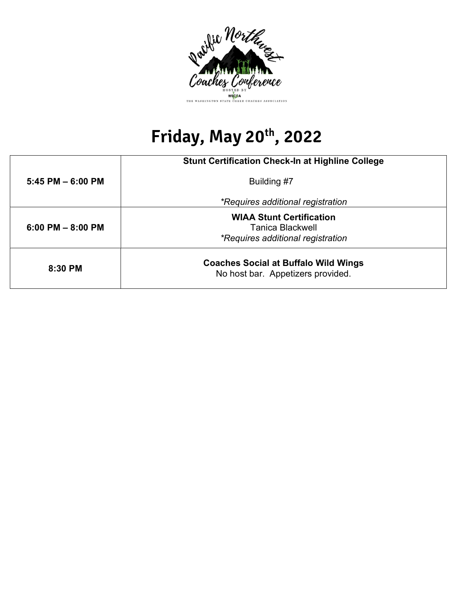

## Friday, May 20<sup>th</sup>, 2022

|                       | <b>Stunt Certification Check-In at Highline College</b>                                         |  |  |
|-----------------------|-------------------------------------------------------------------------------------------------|--|--|
| $5:45$ PM $-6:00$ PM  | Building #7                                                                                     |  |  |
|                       | *Requires additional registration                                                               |  |  |
| $6:00$ PM $- 8:00$ PM | <b>WIAA Stunt Certification</b><br>Tanica Blackwell<br><i>*Requires additional registration</i> |  |  |
| $8:30$ PM             | <b>Coaches Social at Buffalo Wild Wings</b><br>No host bar. Appetizers provided.                |  |  |